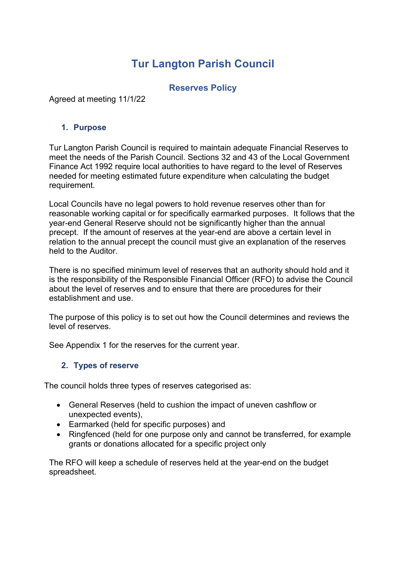# **Tur Langton Parish Council**

## **Reserves Policy**

Agreed at meeting 11/1/22

#### **1. Purpose**

Tur Langton Parish Council is required to maintain adequate Financial Reserves to meet the needs of the Parish Council. Sections 32 and 43 of the Local Government Finance Act 1992 require local authorities to have regard to the level of Reserves needed for meeting estimated future expenditure when calculating the budget requirement.

Local Councils have no legal powers to hold revenue reserves other than for reasonable working capital or for specifically earmarked purposes. It follows that the year-end General Reserve should not be significantly higher than the annual precept. If the amount of reserves at the year-end are above a certain level in relation to the annual precept the council must give an explanation of the reserves held to the Auditor.

There is no specified minimum level of reserves that an authority should hold and it is the responsibility of the Responsible Financial Officer (RFO) to advise the Council about the level of reserves and to ensure that there are procedures for their establishment and use.

The purpose of this policy is to set out how the Council determines and reviews the level of reserves.

See Appendix 1 for the reserves for the current year.

#### **2. Types of reserve**

The council holds three types of reserves categorised as:

- General Reserves (held to cushion the impact of uneven cashflow or unexpected events),
- Earmarked (held for specific purposes) and
- Ringfenced (held for one purpose only and cannot be transferred, for example grants or donations allocated for a specific project only

The RFO will keep a schedule of reserves held at the year-end on the budget spreadsheet.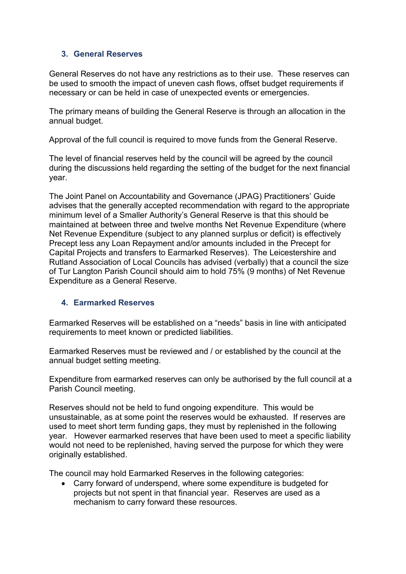#### **3. General Reserves**

General Reserves do not have any restrictions as to their use. These reserves can be used to smooth the impact of uneven cash flows, offset budget requirements if necessary or can be held in case of unexpected events or emergencies.

The primary means of building the General Reserve is through an allocation in the annual budget.

Approval of the full council is required to move funds from the General Reserve.

The level of financial reserves held by the council will be agreed by the council during the discussions held regarding the setting of the budget for the next financial year.

The Joint Panel on Accountability and Governance (JPAG) Practitioners' Guide advises that the generally accepted recommendation with regard to the appropriate minimum level of a Smaller Authority's General Reserve is that this should be maintained at between three and twelve months Net Revenue Expenditure (where Net Revenue Expenditure (subject to any planned surplus or deficit) is effectively Precept less any Loan Repayment and/or amounts included in the Precept for Capital Projects and transfers to Earmarked Reserves). The Leicestershire and Rutland Association of Local Councils has advised (verbally) that a council the size of Tur Langton Parish Council should aim to hold 75% (9 months) of Net Revenue Expenditure as a General Reserve.

#### **4. Earmarked Reserves**

Earmarked Reserves will be established on a "needs" basis in line with anticipated requirements to meet known or predicted liabilities.

Earmarked Reserves must be reviewed and / or established by the council at the annual budget setting meeting.

Expenditure from earmarked reserves can only be authorised by the full council at a Parish Council meeting.

Reserves should not be held to fund ongoing expenditure. This would be unsustainable, as at some point the reserves would be exhausted. If reserves are used to meet short term funding gaps, they must by replenished in the following year. However earmarked reserves that have been used to meet a specific liability would not need to be replenished, having served the purpose for which they were originally established.

The council may hold Earmarked Reserves in the following categories:

• Carry forward of underspend, where some expenditure is budgeted for projects but not spent in that financial year. Reserves are used as a mechanism to carry forward these resources.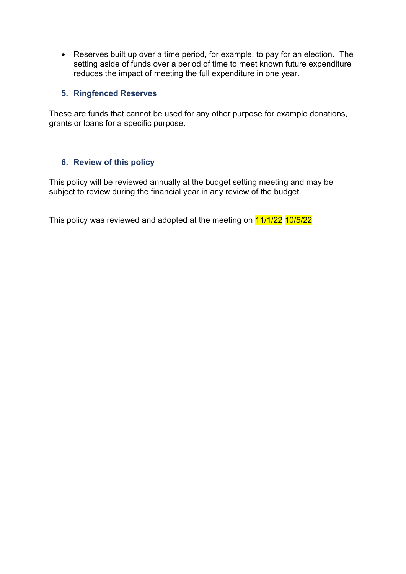• Reserves built up over a time period, for example, to pay for an election. The setting aside of funds over a period of time to meet known future expenditure reduces the impact of meeting the full expenditure in one year.

#### **5. Ringfenced Reserves**

These are funds that cannot be used for any other purpose for example donations, grants or loans for a specific purpose.

#### **6. Review of this policy**

This policy will be reviewed annually at the budget setting meeting and may be subject to review during the financial year in any review of the budget.

This policy was reviewed and adopted at the meeting on  $\frac{41}{11/22}$  10/5/22